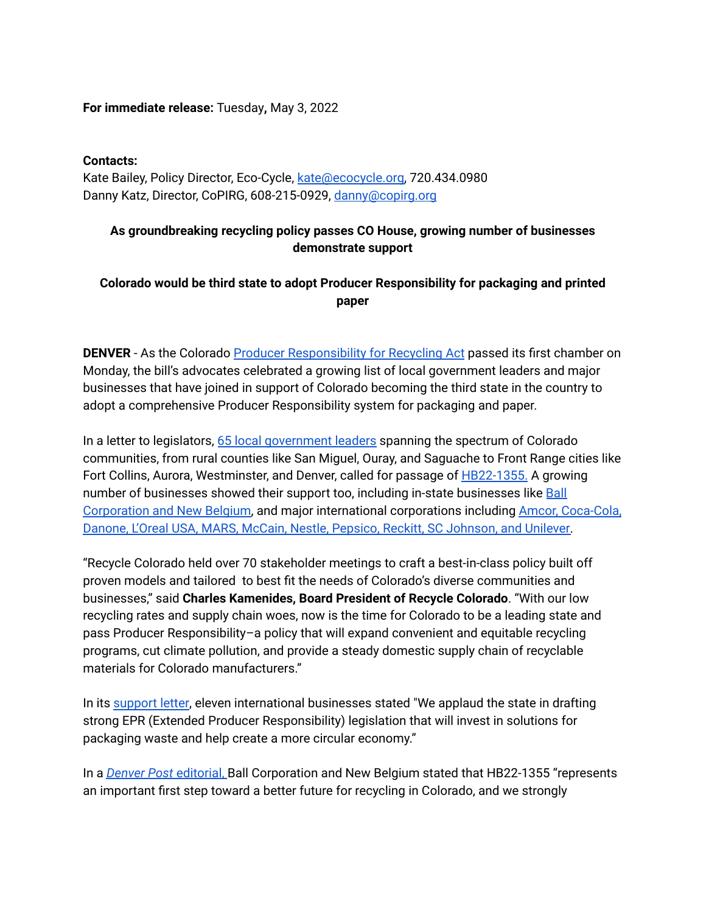## **For immediate release:** Tuesday**,** May 3, 2022

## **Contacts:**

Kate Bailey, Policy Director, Eco-Cycle, [kate@ecocycle.org,](mailto:kate@ecocycle.org) 720.434.0980 Danny Katz, Director, CoPIRG, 608-215-0929, [danny@copirg.org](mailto:danny@copirg.org)

## **As groundbreaking recycling policy passes CO House, growing number of businesses demonstrate support**

## **Colorado would be third state to adopt Producer Responsibility for packaging and printed paper**

**DENVER** - As the Colorado Producer [Responsibility](https://leg.colorado.gov/bills/hb22-1355) for Recycling Act passed its first chamber on Monday, the bill's advocates celebrated a growing list of local government leaders and major businesses that have joined in support of Colorado becoming the third state in the country to adopt a comprehensive Producer Responsibility system for packaging and paper.

In a letter to legislators, 65 local [government](https://www.recyclingforallcoloradans.org/supporters) leaders spanning the spectrum of Colorado communities, from rural counties like San Miguel, Ouray, and Saguache to Front Range cities like Fort Collins, Aurora, Westminster, and Denver, called for passage of **[HB22-1355](https://leg.colorado.gov/bills/hb22-1355)**. A growing number of businesses showed their support too, including in-state businesses like [Ball](https://www.denverpost.com/2022/04/21/colorado-recycling-bill-ball-new-belgium-brewing-responsibility/) [Corporation](https://www.denverpost.com/2022/04/21/colorado-recycling-bill-ball-new-belgium-brewing-responsibility/) and New Belgium, and major international corporations including Amcor, [Coca-Cola,](https://www.recyclingforallcoloradans.org/supporters) Danone, L'Oreal USA, MARS, McCain, Nestle, Pepsico, Reckitt, SC [Johnson,](https://www.recyclingforallcoloradans.org/supporters) and Unilever.

"Recycle Colorado held over 70 stakeholder meetings to craft a best-in-class policy built off proven models and tailored to best fit the needs of Colorado's diverse communities and businesses," said **Charles Kamenides, Board President of Recycle Colorado**. "With our low recycling rates and supply chain woes, now is the time for Colorado to be a leading state and pass Producer Responsibility–a policy that will expand convenient and equitable recycling programs, cut climate pollution, and provide a steady domestic supply chain of recyclable materials for Colorado manufacturers."

In its [support](https://www.recyclingforallcoloradans.org/supporters) letter, eleven international businesses stated "We applaud the state in drafting strong EPR (Extended Producer Responsibility) legislation that will invest in solutions for packaging waste and help create a more circular economy."

In a *Denver Post* [editorial,](https://www.denverpost.com/2022/04/21/colorado-recycling-bill-ball-new-belgium-brewing-responsibility/) Ball Corporation and New Belgium stated that HB22-1355 "represents an important first step toward a better future for recycling in Colorado, and we strongly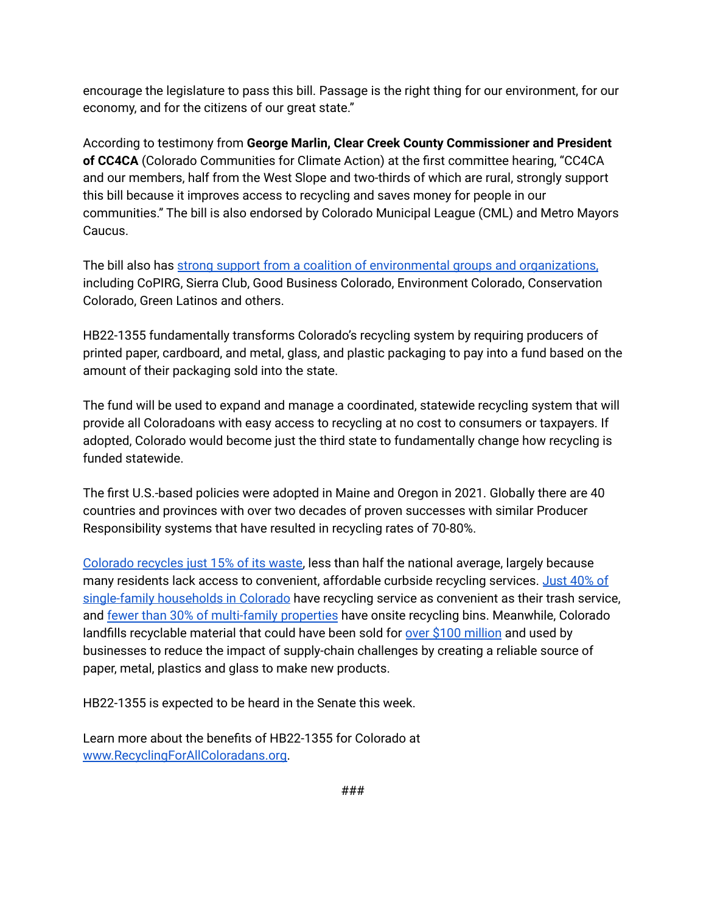encourage the legislature to pass this bill. Passage is the right thing for our environment, for our economy, and for the citizens of our great state."

According to testimony from **George Marlin, Clear Creek County Commissioner and President of CC4CA** (Colorado Communities for Climate Action) at the first committee hearing, "CC4CA and our members, half from the West Slope and two-thirds of which are rural, strongly support this bill because it improves access to recycling and saves money for people in our communities." The bill is also endorsed by Colorado Municipal League (CML) and Metro Mayors Caucus.

The bill also has strong support from a coalition of [environmental](https://www.recyclingforallcoloradans.org/supporters) groups and organizations, including CoPIRG, Sierra Club, Good Business Colorado, Environment Colorado, Conservation Colorado, Green Latinos and others.

HB22-1355 fundamentally transforms Colorado's recycling system by requiring producers of printed paper, cardboard, and metal, glass, and plastic packaging to pay into a fund based on the amount of their packaging sold into the state.

The fund will be used to expand and manage a coordinated, statewide recycling system that will provide all Coloradoans with easy access to recycling at no cost to consumers or taxpayers. If adopted, Colorado would become just the third state to fundamentally change how recycling is funded statewide.

The first U.S.-based policies were adopted in Maine and Oregon in 2021. Globally there are 40 countries and provinces with over two decades of proven successes with similar Producer Responsibility systems that have resulted in recycling rates of 70-80%.

[Colorado](https://cdphe.colorado.gov/colorado-recycling-totals) recycles just 15% of its waste, less than half the national average, largely because many residents lack access to convenient, affordable curbside recycling services. [Just](https://drive.google.com/file/d/1KC-a8yHECfqN5vMEFuNrP9wMvFmtMBFx/view?usp=sharing) 40% of [single-family](https://drive.google.com/file/d/1KC-a8yHECfqN5vMEFuNrP9wMvFmtMBFx/view?usp=sharing) households in Colorado have recycling service as convenient as their trash service, and fewer than 30% of [multi-family](https://www.ecocycle.org/files/pdfs/2021_State_of_Recycling_and_Composting_in_Colorado_Report.pdf) properties have onsite recycling bins. Meanwhile, Colorado landfills recyclable material that could have been sold for over \$100 [million](https://drive.google.com/file/d/1gEMQ2t5vwP3C3zujIf1vRdvz-UZyEKZH/view?usp=sharing) and used by businesses to reduce the impact of supply-chain challenges by creating a reliable source of paper, metal, plastics and glass to make new products.

HB22-1355 is expected to be heard in the Senate this week.

Learn more about the benefits of HB22-1355 for Colorado at [www.RecyclingForAllColoradans.org.](http://www.recyclingforallcoloradans.org)